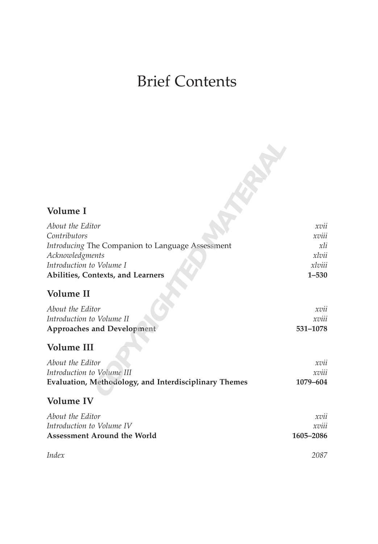## Brief Contents

| Volume I                                              |           |
|-------------------------------------------------------|-----------|
|                                                       |           |
| About the Editor                                      | xvu       |
| Contributors                                          | xviii     |
| Introducing The Companion to Language Assessment      | xli       |
| Acknowledgments                                       | xlvii     |
| Introduction to Volume I                              | xlviii    |
| Abilities, Contexts, and Learners                     | $1 - 530$ |
| Volume II                                             |           |
| About the Editor                                      | xvii      |
| Introduction to Volume II                             | xviii     |
| Approaches and Development                            | 531-1078  |
|                                                       |           |
| <b>Volume III</b>                                     |           |
| About the Editor                                      | xvii      |
| Introduction to Volume III                            | xviii     |
| Evaluation, Methodology, and Interdisciplinary Themes | 1079-604  |
| <b>Volume IV</b>                                      |           |
| About the Editor                                      | xvii      |
| Introduction to Volume IV                             | xviii     |
| Assessment Around the World                           | 1605-2086 |
| Index                                                 | 2087      |
|                                                       |           |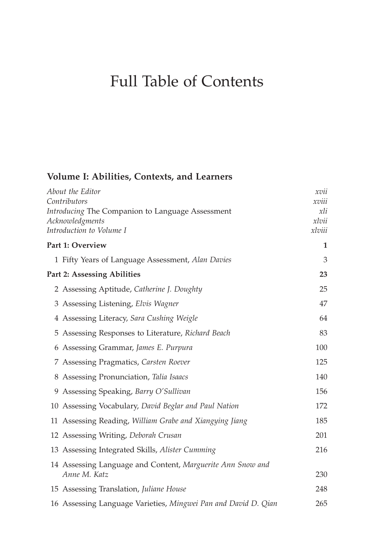## Full Table of Contents

## **Volume I: Abilities, Contexts, and Learners**

| About the Editor                                               | xvu    |
|----------------------------------------------------------------|--------|
| Contributors                                                   | xviii  |
| Introducing The Companion to Language Assessment               | xli    |
| Acknowledgments                                                | xlvii  |
| Introduction to Volume I                                       | xlviii |
| Part 1: Overview                                               | 1      |
| 1 Fifty Years of Language Assessment, Alan Davies              | 3      |
| Part 2: Assessing Abilities                                    | 23     |
| 2 Assessing Aptitude, Catherine J. Doughty                     | 25     |
| 3 Assessing Listening, Elvis Wagner                            | 47     |
| 4 Assessing Literacy, Sara Cushing Weigle                      | 64     |
| 5 Assessing Responses to Literature, Richard Beach             | 83     |
| 6 Assessing Grammar, James E. Purpura                          | 100    |
| 7 Assessing Pragmatics, Carsten Roever                         | 125    |
| 8 Assessing Pronunciation, Talia Isaacs                        | 140    |
| 9 Assessing Speaking, Barry O'Sullivan                         | 156    |
| 10 Assessing Vocabulary, David Beglar and Paul Nation          | 172    |
| 11 Assessing Reading, William Grabe and Xiangying Jiang        | 185    |
| 12 Assessing Writing, Deborah Crusan                           | 201    |
| 13 Assessing Integrated Skills, Alister Cumming                | 216    |
| 14 Assessing Language and Content, Marguerite Ann Snow and     |        |
| Anne M. Katz                                                   | 230    |
| 15 Assessing Translation, Juliane House                        | 248    |
| 16 Assessing Language Varieties, Mingwei Pan and David D. Qian | 265    |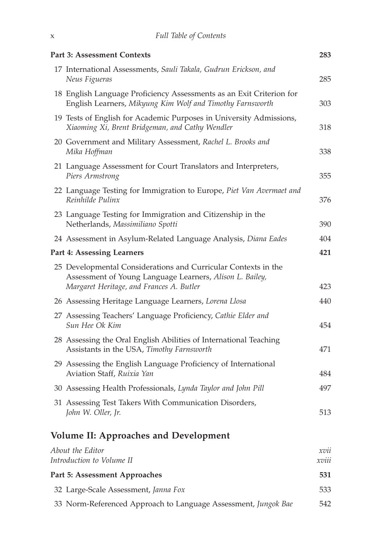| Part 3: Assessment Contexts                                                                                                                                            | 283           |
|------------------------------------------------------------------------------------------------------------------------------------------------------------------------|---------------|
| 17 International Assessments, Sauli Takala, Gudrun Erickson, and<br>Neus Figueras                                                                                      | 285           |
| 18 English Language Proficiency Assessments as an Exit Criterion for<br>English Learners, Mikyung Kim Wolf and Timothy Farnsworth                                      | 303           |
| 19 Tests of English for Academic Purposes in University Admissions,<br>Xiaoming Xi, Brent Bridgeman, and Cathy Wendler                                                 | 318           |
| 20 Government and Military Assessment, Rachel L. Brooks and<br>Mika Hoffman                                                                                            | 338           |
| 21 Language Assessment for Court Translators and Interpreters,<br>Piers Armstrong                                                                                      | 355           |
| 22 Language Testing for Immigration to Europe, Piet Van Avermaet and<br>Reinhilde Pulinx                                                                               | 376           |
| 23 Language Testing for Immigration and Citizenship in the<br>Netherlands, Massimiliano Spotti                                                                         | 390           |
| 24 Assessment in Asylum-Related Language Analysis, Diana Eades                                                                                                         | 404           |
| Part 4: Assessing Learners                                                                                                                                             | 421           |
| 25 Developmental Considerations and Curricular Contexts in the<br>Assessment of Young Language Learners, Alison L. Bailey,<br>Margaret Heritage, and Frances A. Butler | 423           |
| 26 Assessing Heritage Language Learners, Lorena Llosa                                                                                                                  | 440           |
| 27 Assessing Teachers' Language Proficiency, Cathie Elder and<br>Sun Hee Ok Kim                                                                                        | 454           |
| 28 Assessing the Oral English Abilities of International Teaching<br>Assistants in the USA, Timothy Farnsworth                                                         | 471           |
| 29 Assessing the English Language Proficiency of International<br>Aviation Staff, Ruixia Yan                                                                           | 484           |
| 30 Assessing Health Professionals, Lynda Taylor and John Pill                                                                                                          | 497           |
| 31 Assessing Test Takers With Communication Disorders,<br>John W. Oller, Jr.                                                                                           | 513           |
| <b>Volume II: Approaches and Development</b>                                                                                                                           |               |
| About the Editor<br>Introduction to Volume II                                                                                                                          | xvii<br>xviii |
| Part 5: Assessment Approaches                                                                                                                                          | 531           |
| 32 Large-Scale Assessment, Janna Fox                                                                                                                                   | 533           |
| 33 Norm-Referenced Approach to Language Assessment, Jungok Bae                                                                                                         | 542           |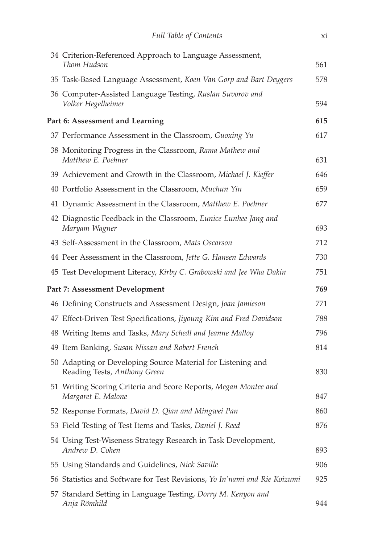| 34 Criterion-Referenced Approach to Language Assessment,<br>Thom Hudson                     | 561 |
|---------------------------------------------------------------------------------------------|-----|
| 35 Task-Based Language Assessment, Koen Van Gorp and Bart Deygers                           | 578 |
| 36 Computer-Assisted Language Testing, Ruslan Suvorov and<br>Volker Hegelheimer             | 594 |
| Part 6: Assessment and Learning                                                             | 615 |
| 37 Performance Assessment in the Classroom, Guoxing Yu                                      | 617 |
| 38 Monitoring Progress in the Classroom, Rama Mathew and<br>Matthew E. Poehner              | 631 |
| 39 Achievement and Growth in the Classroom, Michael J. Kieffer                              | 646 |
| 40 Portfolio Assessment in the Classroom, Muchun Yin                                        | 659 |
| 41 Dynamic Assessment in the Classroom, Matthew E. Poehner                                  | 677 |
| 42 Diagnostic Feedback in the Classroom, Eunice Eunhee Jang and<br>Maryam Wagner            | 693 |
| 43 Self-Assessment in the Classroom, Mats Oscarson                                          | 712 |
| 44 Peer Assessment in the Classroom, Jette G. Hansen Edwards                                | 730 |
| 45 Test Development Literacy, Kirby C. Grabowski and Jee Wha Dakin                          | 751 |
| Part 7: Assessment Development                                                              | 769 |
| 46 Defining Constructs and Assessment Design, Joan Jamieson                                 | 771 |
| 47 Effect-Driven Test Specifications, Jiyoung Kim and Fred Davidson                         | 788 |
| 48 Writing Items and Tasks, Mary Schedl and Jeanne Malloy                                   | 796 |
| 49 Item Banking, Susan Nissan and Robert French                                             | 814 |
| 50 Adapting or Developing Source Material for Listening and<br>Reading Tests, Anthony Green | 830 |
| 51 Writing Scoring Criteria and Score Reports, Megan Montee and<br>Margaret E. Malone       | 847 |
| 52 Response Formats, David D. Qian and Mingwei Pan                                          | 860 |
| 53 Field Testing of Test Items and Tasks, Daniel J. Reed                                    | 876 |
| 54 Using Test-Wiseness Strategy Research in Task Development,<br>Andrew D. Cohen            | 893 |
| 55 Using Standards and Guidelines, Nick Saville                                             | 906 |
| 56 Statistics and Software for Test Revisions, Yo In'nami and Rie Koizumi                   | 925 |
| 57 Standard Setting in Language Testing, Dorry M. Kenyon and<br>Anja Römhild                | 944 |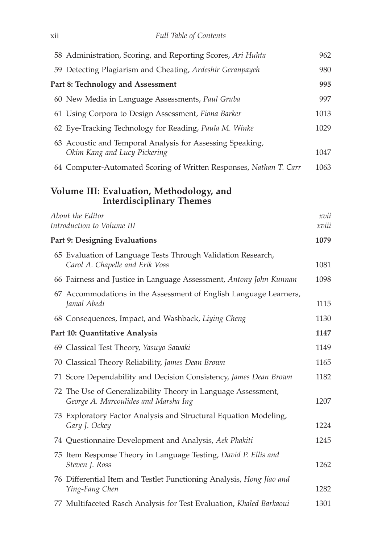| 58 Administration, Scoring, and Reporting Scores, Ari Huhta                                           | 962           |
|-------------------------------------------------------------------------------------------------------|---------------|
| 59 Detecting Plagiarism and Cheating, Ardeshir Geranpayeh                                             | 980           |
| Part 8: Technology and Assessment                                                                     | 995           |
| 60 New Media in Language Assessments, Paul Gruba                                                      | 997           |
| 61 Using Corpora to Design Assessment, Fiona Barker                                                   | 1013          |
| 62 Eye-Tracking Technology for Reading, Paula M. Winke                                                | 1029          |
| 63 Acoustic and Temporal Analysis for Assessing Speaking,<br>Okim Kang and Lucy Pickering             | 1047          |
| 64 Computer-Automated Scoring of Written Responses, Nathan T. Carr                                    | 1063          |
| Volume III: Evaluation, Methodology, and<br><b>Interdisciplinary Themes</b>                           |               |
| About the Editor<br>Introduction to Volume III                                                        | xvii<br>xviii |
| Part 9: Designing Evaluations                                                                         | 1079          |
| 65 Evaluation of Language Tests Through Validation Research,<br>Carol A. Chapelle and Erik Voss       | 1081          |
| 66 Fairness and Justice in Language Assessment, Antony John Kunnan                                    | 1098          |
| 67 Accommodations in the Assessment of English Language Learners,<br>Jamal Abedi                      | 1115          |
| 68 Consequences, Impact, and Washback, Liying Cheng                                                   | 1130          |
| Part 10: Quantitative Analysis                                                                        | 1147          |
| 69 Classical Test Theory, Yasuyo Sawaki                                                               | 1149          |
| 70 Classical Theory Reliability, James Dean Brown                                                     | 1165          |
| 71 Score Dependability and Decision Consistency, James Dean Brown                                     | 1182          |
| 72 The Use of Generalizability Theory in Language Assessment,<br>George A. Marcoulides and Marsha Ing | 1207          |
| 73 Exploratory Factor Analysis and Structural Equation Modeling,<br>Gary J. Ockey                     | 1224          |
| 74 Questionnaire Development and Analysis, Aek Phakiti                                                | 1245          |
| 75 Item Response Theory in Language Testing, David P. Ellis and<br>Steven J. Ross                     | 1262          |
| 76 Differential Item and Testlet Functioning Analysis, Hong Jiao and<br>Ying-Fang Chen                | 1282          |
| 77 Multifaceted Rasch Analysis for Test Evaluation, Khaled Barkaoui                                   | 1301          |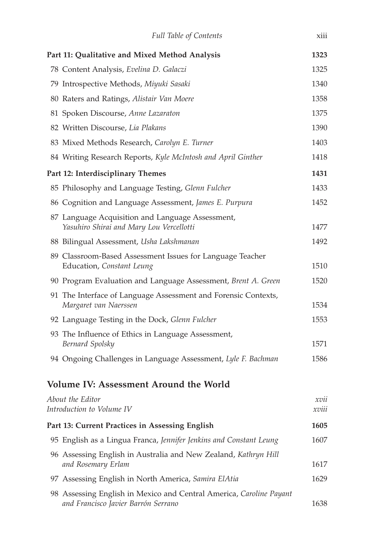| <b>Full Table of Contents</b>                                                                              | X111            |
|------------------------------------------------------------------------------------------------------------|-----------------|
| Part 11: Qualitative and Mixed Method Analysis                                                             | 1323            |
| 78 Content Analysis, Evelina D. Galaczi                                                                    | 1325            |
| 79 Introspective Methods, Miyuki Sasaki                                                                    | 1340            |
| 80 Raters and Ratings, Alistair Van Moere                                                                  | 1358            |
| 81 Spoken Discourse, Anne Lazaraton                                                                        | 1375            |
| 82 Written Discourse, Lia Plakans                                                                          | 1390            |
| 83 Mixed Methods Research, Carolyn E. Turner                                                               | 1403            |
| 84 Writing Research Reports, Kyle McIntosh and April Ginther                                               | 1418            |
| Part 12: Interdisciplinary Themes                                                                          | 1431            |
| 85 Philosophy and Language Testing, Glenn Fulcher                                                          | 1433            |
| 86 Cognition and Language Assessment, James E. Purpura                                                     | 1452            |
| 87 Language Acquisition and Language Assessment,<br>Yasuhiro Shirai and Mary Lou Vercellotti               | 1477            |
| 88 Bilingual Assessment, Usha Lakshmanan                                                                   | 1492            |
| 89 Classroom-Based Assessment Issues for Language Teacher<br>Education, Constant Leung                     | 1510            |
| 90 Program Evaluation and Language Assessment, Brent A. Green                                              | 1520            |
| 91 The Interface of Language Assessment and Forensic Contexts,<br>Margaret van Naerssen                    | 1534            |
| 92 Language Testing in the Dock, Glenn Fulcher                                                             | 1553            |
| 93 The Influence of Ethics in Language Assessment,<br>Bernard Spolsky                                      | 1571            |
| 94 Ongoing Challenges in Language Assessment, Lyle F. Bachman                                              | 1586            |
| Volume IV: Assessment Around the World                                                                     |                 |
| About the Editor<br>Introduction to Volume IV                                                              | xvu<br>$xv$ $u$ |
| Part 13: Current Practices in Assessing English                                                            | 1605            |
| 95 English as a Lingua Franca, Jennifer Jenkins and Constant Leung                                         | 1607            |
| 96 Assessing English in Australia and New Zealand, Kathryn Hill<br>and Rosemary Erlam                      | 1617            |
| 97 Assessing English in North America, Samira ElAtia                                                       | 1629            |
| 98 Assessing English in Mexico and Central America, Caroline Payant<br>and Francisco Javier Barrón Serrano | 1638            |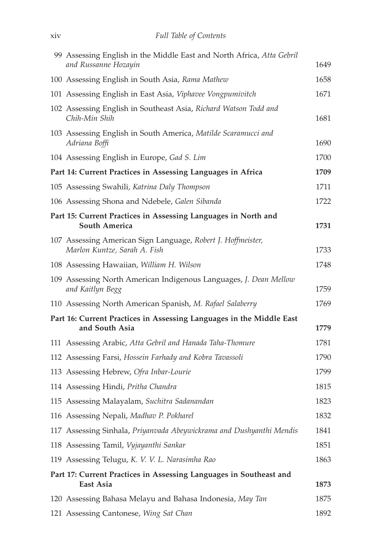| 99 Assessing English in the Middle East and North Africa, Atta Gebril<br>and Russanne Hozayin | 1649 |
|-----------------------------------------------------------------------------------------------|------|
| 100 Assessing English in South Asia, Rama Mathew                                              | 1658 |
| 101 Assessing English in East Asia, Viphavee Vongpumivitch                                    | 1671 |
| 102 Assessing English in Southeast Asia, Richard Watson Todd and<br>Chih-Min Shih             | 1681 |
| 103 Assessing English in South America, Matilde Scaramucci and<br>Adriana Boffi               | 1690 |
| 104 Assessing English in Europe, Gad S. Lim                                                   | 1700 |
| Part 14: Current Practices in Assessing Languages in Africa                                   | 1709 |
| 105 Assessing Swahili, Katrina Daly Thompson                                                  | 1711 |
| 106 Assessing Shona and Ndebele, Galen Sibanda                                                | 1722 |
| Part 15: Current Practices in Assessing Languages in North and<br><b>South America</b>        | 1731 |
| 107 Assessing American Sign Language, Robert J. Hoffmeister,<br>Marlon Kuntze, Sarah A. Fish  | 1733 |
| 108 Assessing Hawaiian, William H. Wilson                                                     | 1748 |
| 109 Assessing North American Indigenous Languages, J. Dean Mellow<br>and Kaitlyn Begg         | 1759 |
| 110 Assessing North American Spanish, M. Rafael Salaberry                                     | 1769 |
| Part 16: Current Practices in Assessing Languages in the Middle East<br>and South Asia        | 1779 |
| 111 Assessing Arabic, Atta Gebril and Hanada Taha-Thomure                                     | 1781 |
| 112 Assessing Farsi, Hossein Farhady and Kobra Tavassoli                                      | 1790 |
| 113 Assessing Hebrew, Ofra Inbar-Lourie                                                       | 1799 |
| 114 Assessing Hindi, Pritha Chandra                                                           | 1815 |
| 115 Assessing Malayalam, Suchitra Sadanandan                                                  | 1823 |
| 116 Assessing Nepali, Madhav P. Pokharel                                                      | 1832 |
| 117 Assessing Sinhala, Priyanvada Abeywickrama and Dushyanthi Mendis                          | 1841 |
| 118 Assessing Tamil, Vyjayanthi Sankar                                                        | 1851 |
| 119 Assessing Telugu, K. V. V. L. Narasimha Rao                                               | 1863 |
| Part 17: Current Practices in Assessing Languages in Southeast and<br>East Asia               | 1873 |
| 120 Assessing Bahasa Melayu and Bahasa Indonesia, May Tan                                     | 1875 |
| 121 Assessing Cantonese, Wing Sat Chan                                                        | 1892 |